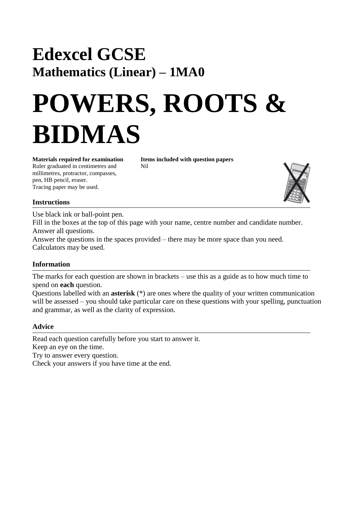## **Edexcel GCSE Mathematics (Linear) – 1MA0**

# **POWERS, ROOTS & BIDMAS**

Ruler graduated in centimetres and Nil millimetres, protractor, compasses, pen, HB pencil, eraser. Tracing paper may be used.

**Materials required for examination Items included with question papers**



### **Instructions**

Use black ink or ball-point pen.

Fill in the boxes at the top of this page with your name, centre number and candidate number. Answer all questions.

Answer the questions in the spaces provided – there may be more space than you need. Calculators may be used.

### **Information**

The marks for each question are shown in brackets – use this as a guide as to how much time to spend on **each** question.

Questions labelled with an **asterisk** (\*) are ones where the quality of your written communication will be assessed – you should take particular care on these questions with your spelling, punctuation and grammar, as well as the clarity of expression.

### **Advice**

Read each question carefully before you start to answer it. Keep an eye on the time. Try to answer every question. Check your answers if you have time at the end.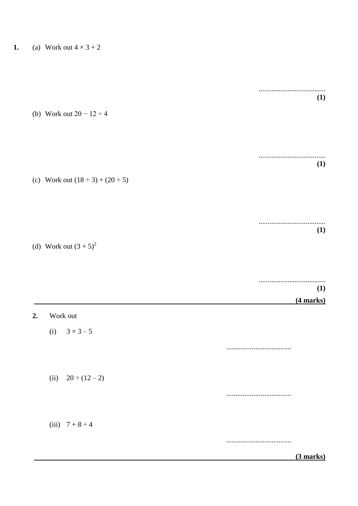|  | (1) |
|--|-----|

 $(1)$ 

(b) Work out  $20 - 12 \div 4$ 

(c) Work out  $(18 \div 3) + (20 \div 5)$ 

|  |  |  |  |  |  |  |  |  |  |  |  |  |  |  |  |  | (1) |  |
|--|--|--|--|--|--|--|--|--|--|--|--|--|--|--|--|--|-----|--|

(d) Work out  $(3 + 5)^2$ 

 $2.$ 

|                       | (1)         |
|-----------------------|-------------|
|                       | $(4$ marks) |
| Work out              |             |
| (i) $3 \times 3 - 5$  |             |
|                       | .           |
| (ii) $20 \div (12-2)$ |             |
|                       |             |
|                       |             |
| (iii) $7 + 8 \div 4$  |             |
|                       |             |
|                       | $(3$ marks) |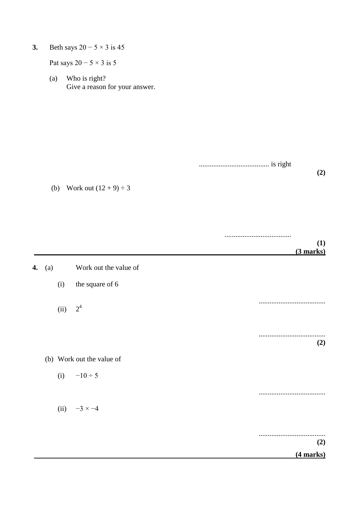**3.** Beth says  $20 - 5 \times 3$  is 45

Pat says  $20 - 5 \times 3$  is 5

(a) Who is right? Give a reason for your answer.

> ....................................... is right **(2)**

(b) Work out  $(12 + 9) \div 3$ 

| -          |
|------------|
| I ATTATTAN |

| 4. | (a) |      | Work out the value of     |             |
|----|-----|------|---------------------------|-------------|
|    |     | (i)  | the square of 6           |             |
|    |     | (ii) | $2^4$                     |             |
|    |     |      |                           | <br>(2)     |
|    |     |      | (b) Work out the value of |             |
|    |     |      | (i) $-10 \div 5$          |             |
|    |     |      |                           |             |
|    |     |      | (ii) $-3 \times -4$       |             |
|    |     |      |                           | <br>(2)     |
|    |     |      |                           | $(4$ marks) |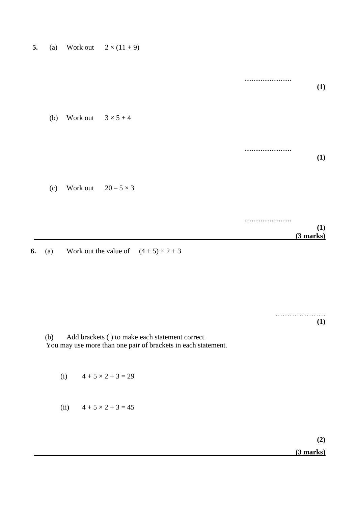| 5. | (a) | Work out | $2 \times (11 + 9)$ |
|----|-----|----------|---------------------|
|----|-----|----------|---------------------|

**(1)** (b) Work out  $3 \times 5 + 4$ .......................... **(1)** (c) Work out  $20 - 5 \times 3$ .......................... **(1) (3 marks)**

**6.** (a) Work out the value of  $(4 + 5) \times 2 + 3$ 

…………………… **(1)**

..........................

(b) Add brackets ( ) to make each statement correct. You may use more than one pair of brackets in each statement.

(i)  $4 + 5 \times 2 + 3 = 29$ 

(ii)  $4 + 5 \times 2 + 3 = 45$ 

**(2) (3 marks)**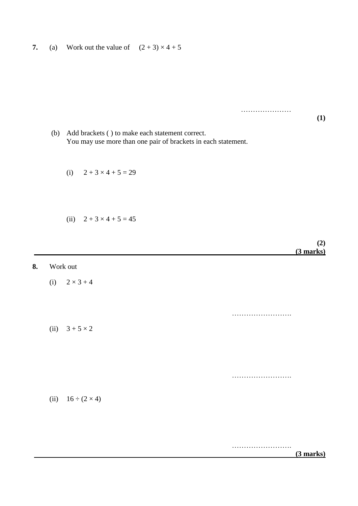**7.** (a) Work out the value of  $(2 + 3) \times 4 + 5$ 

(b) Add brackets ( ) to make each statement correct. You may use more than one pair of brackets in each statement.

- (i)  $2 + 3 \times 4 + 5 = 29$
- (ii)  $2 + 3 \times 4 + 5 = 45$
- **(2) (3 marks) 8.** Work out (i)  $2 \times 3 + 4$ …………………………… (ii)  $3 + 5 \times 2$ ……………………. (ii)  $16 \div (2 \times 4)$

…………………………  **(3 marks)**

…………………

**(1)**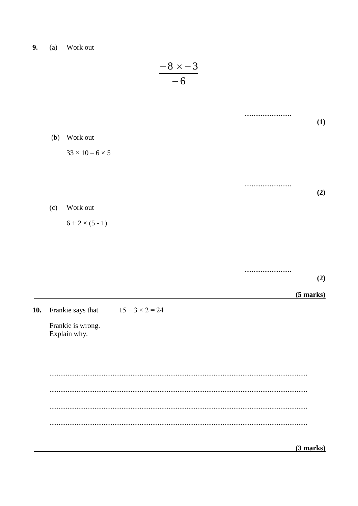9. (a) Work out

 $(3$  marks)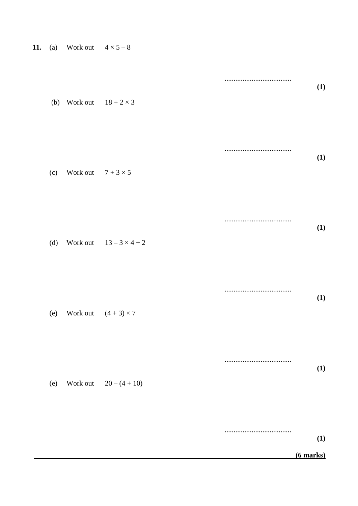| (b) | Work out $18 + 2 \times 3$ |                            | (1)        |
|-----|----------------------------|----------------------------|------------|
| (c) | Work out $7 + 3 \times 5$  |                            | <b>(1)</b> |
| (d) |                            | Work out $13-3 \times 4+2$ | (1)        |
| (e) |                            | Work out $(4+3) \times 7$  | (1)        |
| (e) |                            | Work out $20 - (4 + 10)$   | (1)        |
|     |                            |                            | (1)        |

 $(6$  marks)